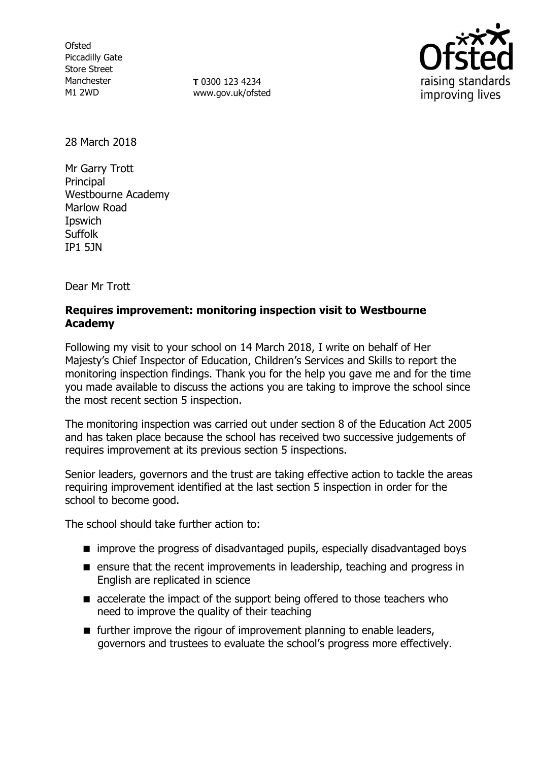**Ofsted** Piccadilly Gate Store Street Manchester M1 2WD

**T** 0300 123 4234 www.gov.uk/ofsted



28 March 2018

Mr Garry Trott Principal Westbourne Academy Marlow Road Ipswich Suffolk IP1 5JN

Dear Mr Trott

## **Requires improvement: monitoring inspection visit to Westbourne Academy**

Following my visit to your school on 14 March 2018, I write on behalf of Her Majesty's Chief Inspector of Education, Children's Services and Skills to report the monitoring inspection findings. Thank you for the help you gave me and for the time you made available to discuss the actions you are taking to improve the school since the most recent section 5 inspection.

The monitoring inspection was carried out under section 8 of the Education Act 2005 and has taken place because the school has received two successive judgements of requires improvement at its previous section 5 inspections.

Senior leaders, governors and the trust are taking effective action to tackle the areas requiring improvement identified at the last section 5 inspection in order for the school to become good.

The school should take further action to:

- **n** improve the progress of disadvantaged pupils, especially disadvantaged boys
- **E** ensure that the recent improvements in leadership, teaching and progress in English are replicated in science
- **E** accelerate the impact of the support being offered to those teachers who need to improve the quality of their teaching
- $\blacksquare$  further improve the rigour of improvement planning to enable leaders, governors and trustees to evaluate the school's progress more effectively.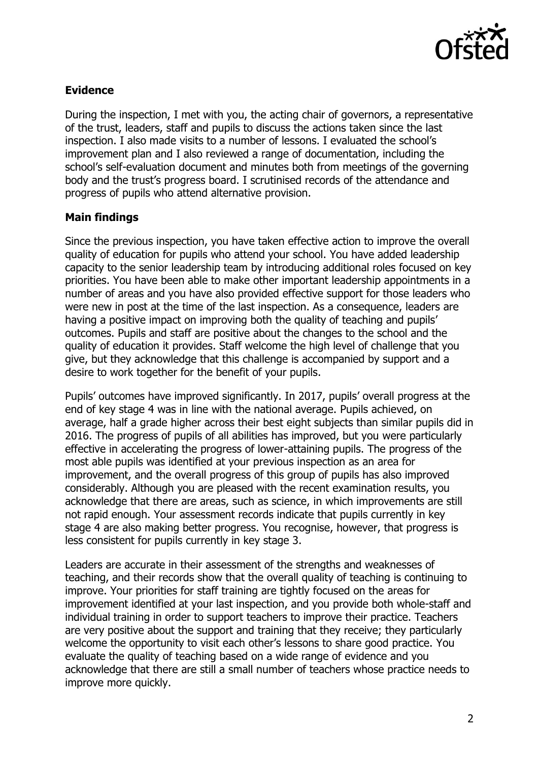

## **Evidence**

During the inspection, I met with you, the acting chair of governors, a representative of the trust, leaders, staff and pupils to discuss the actions taken since the last inspection. I also made visits to a number of lessons. I evaluated the school's improvement plan and I also reviewed a range of documentation, including the school's self-evaluation document and minutes both from meetings of the governing body and the trust's progress board. I scrutinised records of the attendance and progress of pupils who attend alternative provision.

## **Main findings**

Since the previous inspection, you have taken effective action to improve the overall quality of education for pupils who attend your school. You have added leadership capacity to the senior leadership team by introducing additional roles focused on key priorities. You have been able to make other important leadership appointments in a number of areas and you have also provided effective support for those leaders who were new in post at the time of the last inspection. As a consequence, leaders are having a positive impact on improving both the quality of teaching and pupils' outcomes. Pupils and staff are positive about the changes to the school and the quality of education it provides. Staff welcome the high level of challenge that you give, but they acknowledge that this challenge is accompanied by support and a desire to work together for the benefit of your pupils.

Pupils' outcomes have improved significantly. In 2017, pupils' overall progress at the end of key stage 4 was in line with the national average. Pupils achieved, on average, half a grade higher across their best eight subjects than similar pupils did in 2016. The progress of pupils of all abilities has improved, but you were particularly effective in accelerating the progress of lower-attaining pupils. The progress of the most able pupils was identified at your previous inspection as an area for improvement, and the overall progress of this group of pupils has also improved considerably. Although you are pleased with the recent examination results, you acknowledge that there are areas, such as science, in which improvements are still not rapid enough. Your assessment records indicate that pupils currently in key stage 4 are also making better progress. You recognise, however, that progress is less consistent for pupils currently in key stage 3.

Leaders are accurate in their assessment of the strengths and weaknesses of teaching, and their records show that the overall quality of teaching is continuing to improve. Your priorities for staff training are tightly focused on the areas for improvement identified at your last inspection, and you provide both whole-staff and individual training in order to support teachers to improve their practice. Teachers are very positive about the support and training that they receive; they particularly welcome the opportunity to visit each other's lessons to share good practice. You evaluate the quality of teaching based on a wide range of evidence and you acknowledge that there are still a small number of teachers whose practice needs to improve more quickly.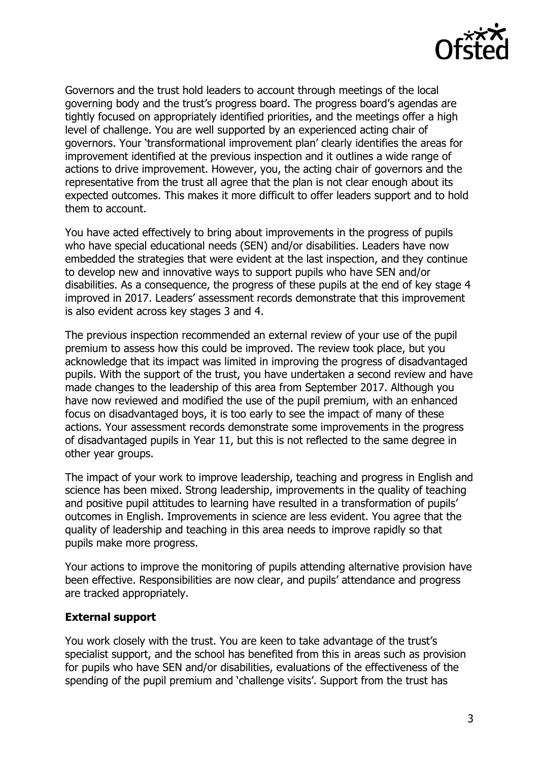

Governors and the trust hold leaders to account through meetings of the local governing body and the trust's progress board. The progress board's agendas are tightly focused on appropriately identified priorities, and the meetings offer a high level of challenge. You are well supported by an experienced acting chair of governors. Your 'transformational improvement plan' clearly identifies the areas for improvement identified at the previous inspection and it outlines a wide range of actions to drive improvement. However, you, the acting chair of governors and the representative from the trust all agree that the plan is not clear enough about its expected outcomes. This makes it more difficult to offer leaders support and to hold them to account.

You have acted effectively to bring about improvements in the progress of pupils who have special educational needs (SEN) and/or disabilities. Leaders have now embedded the strategies that were evident at the last inspection, and they continue to develop new and innovative ways to support pupils who have SEN and/or disabilities. As a consequence, the progress of these pupils at the end of key stage 4 improved in 2017. Leaders' assessment records demonstrate that this improvement is also evident across key stages 3 and 4.

The previous inspection recommended an external review of your use of the pupil premium to assess how this could be improved. The review took place, but you acknowledge that its impact was limited in improving the progress of disadvantaged pupils. With the support of the trust, you have undertaken a second review and have made changes to the leadership of this area from September 2017. Although you have now reviewed and modified the use of the pupil premium, with an enhanced focus on disadvantaged boys, it is too early to see the impact of many of these actions. Your assessment records demonstrate some improvements in the progress of disadvantaged pupils in Year 11, but this is not reflected to the same degree in other year groups.

The impact of your work to improve leadership, teaching and progress in English and science has been mixed. Strong leadership, improvements in the quality of teaching and positive pupil attitudes to learning have resulted in a transformation of pupils' outcomes in English. Improvements in science are less evident. You agree that the quality of leadership and teaching in this area needs to improve rapidly so that pupils make more progress.

Your actions to improve the monitoring of pupils attending alternative provision have been effective. Responsibilities are now clear, and pupils' attendance and progress are tracked appropriately.

## **External support**

You work closely with the trust. You are keen to take advantage of the trust's specialist support, and the school has benefited from this in areas such as provision for pupils who have SEN and/or disabilities, evaluations of the effectiveness of the spending of the pupil premium and 'challenge visits'. Support from the trust has